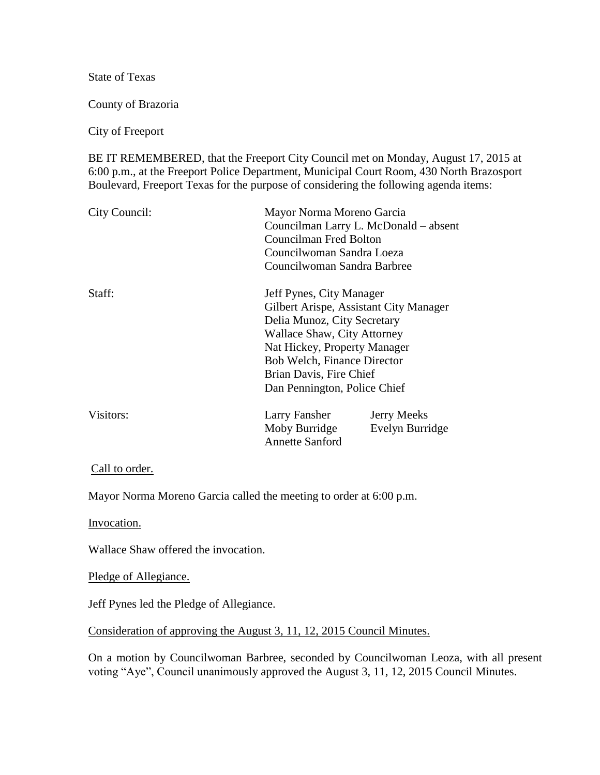State of Texas

County of Brazoria

City of Freeport

BE IT REMEMBERED, that the Freeport City Council met on Monday, August 17, 2015 at 6:00 p.m., at the Freeport Police Department, Municipal Court Room, 430 North Brazosport Boulevard, Freeport Texas for the purpose of considering the following agenda items:

| City Council: | Mayor Norma Moreno Garcia<br>Councilman Larry L. McDonald – absent<br><b>Councilman Fred Bolton</b><br>Councilwoman Sandra Loeza<br>Councilwoman Sandra Barbree                                                                                                   |
|---------------|-------------------------------------------------------------------------------------------------------------------------------------------------------------------------------------------------------------------------------------------------------------------|
| Staff:        | Jeff Pynes, City Manager<br>Gilbert Arispe, Assistant City Manager<br>Delia Munoz, City Secretary<br>Wallace Shaw, City Attorney<br>Nat Hickey, Property Manager<br><b>Bob Welch, Finance Director</b><br>Brian Davis, Fire Chief<br>Dan Pennington, Police Chief |
| Visitors:     | Larry Fansher<br><b>Jerry Meeks</b><br>Moby Burridge<br>Evelyn Burridge<br><b>Annette Sanford</b>                                                                                                                                                                 |

Call to order.

Mayor Norma Moreno Garcia called the meeting to order at 6:00 p.m.

Invocation.

Wallace Shaw offered the invocation.

Pledge of Allegiance.

Jeff Pynes led the Pledge of Allegiance.

Consideration of approving the August 3, 11, 12, 2015 Council Minutes.

On a motion by Councilwoman Barbree, seconded by Councilwoman Leoza, with all present voting "Aye", Council unanimously approved the August 3, 11, 12, 2015 Council Minutes.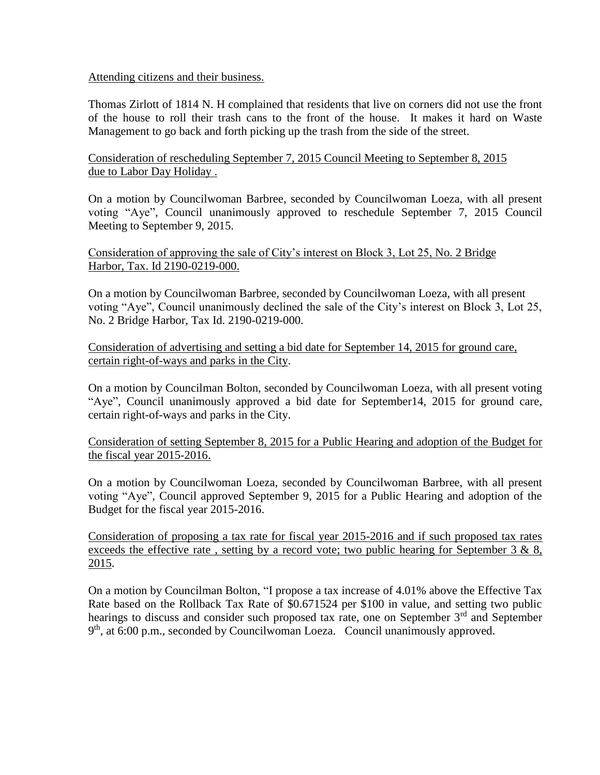## Attending citizens and their business.

Thomas Zirlott of 1814 N. H complained that residents that live on corners did not use the front of the house to roll their trash cans to the front of the house. It makes it hard on Waste Management to go back and forth picking up the trash from the side of the street.

Consideration of rescheduling September 7, 2015 Council Meeting to September 8, 2015 due to Labor Day Holiday .

On a motion by Councilwoman Barbree, seconded by Councilwoman Loeza, with all present voting "Aye", Council unanimously approved to reschedule September 7, 2015 Council Meeting to September 9, 2015.

Consideration of approving the sale of City's interest on Block 3, Lot 25, No. 2 Bridge Harbor, Tax. Id 2190-0219-000.

On a motion by Councilwoman Barbree, seconded by Councilwoman Loeza, with all present voting "Aye", Council unanimously declined the sale of the City's interest on Block 3, Lot 25, No. 2 Bridge Harbor, Tax Id. 2190-0219-000.

Consideration of advertising and setting a bid date for September 14, 2015 for ground care, certain right-of-ways and parks in the City.

On a motion by Councilman Bolton, seconded by Councilwoman Loeza, with all present voting "Aye", Council unanimously approved a bid date for September14, 2015 for ground care, certain right-of-ways and parks in the City.

Consideration of setting September 8, 2015 for a Public Hearing and adoption of the Budget for the fiscal year 2015-2016.

On a motion by Councilwoman Loeza, seconded by Councilwoman Barbree, with all present voting "Aye", Council approved September 9, 2015 for a Public Hearing and adoption of the Budget for the fiscal year 2015-2016.

Consideration of proposing a tax rate for fiscal year 2015-2016 and if such proposed tax rates exceeds the effective rate, setting by a record vote; two public hearing for September 3 & 8, 2015.

On a motion by Councilman Bolton, "I propose a tax increase of 4.01% above the Effective Tax Rate based on the Rollback Tax Rate of \$0.671524 per \$100 in value, and setting two public hearings to discuss and consider such proposed tax rate, one on September 3<sup>rd</sup> and September 9<sup>th</sup>, at 6:00 p.m., seconded by Councilwoman Loeza. Council unanimously approved.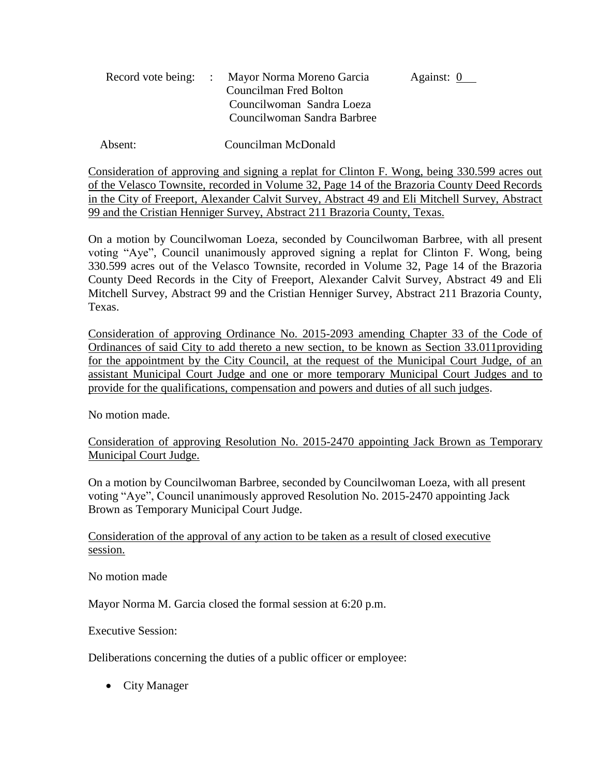|  | Record vote being: : Mayor Norma Moreno Garcia | Against: 0 |
|--|------------------------------------------------|------------|
|  | Councilman Fred Bolton                         |            |
|  | Councilwoman Sandra Loeza                      |            |
|  | Councilwoman Sandra Barbree                    |            |

Absent: Councilman McDonald

Consideration of approving and signing a replat for Clinton F. Wong, being 330.599 acres out of the Velasco Townsite, recorded in Volume 32, Page 14 of the Brazoria County Deed Records in the City of Freeport, Alexander Calvit Survey, Abstract 49 and Eli Mitchell Survey, Abstract 99 and the Cristian Henniger Survey, Abstract 211 Brazoria County, Texas.

On a motion by Councilwoman Loeza, seconded by Councilwoman Barbree, with all present voting "Aye", Council unanimously approved signing a replat for Clinton F. Wong, being 330.599 acres out of the Velasco Townsite, recorded in Volume 32, Page 14 of the Brazoria County Deed Records in the City of Freeport, Alexander Calvit Survey, Abstract 49 and Eli Mitchell Survey, Abstract 99 and the Cristian Henniger Survey, Abstract 211 Brazoria County, Texas.

Consideration of approving Ordinance No. 2015-2093 amending Chapter 33 of the Code of Ordinances of said City to add thereto a new section, to be known as Section 33.011providing for the appointment by the City Council, at the request of the Municipal Court Judge, of an assistant Municipal Court Judge and one or more temporary Municipal Court Judges and to provide for the qualifications, compensation and powers and duties of all such judges.

No motion made.

Consideration of approving Resolution No. 2015-2470 appointing Jack Brown as Temporary Municipal Court Judge.

On a motion by Councilwoman Barbree, seconded by Councilwoman Loeza, with all present voting "Aye", Council unanimously approved Resolution No. 2015-2470 appointing Jack Brown as Temporary Municipal Court Judge.

Consideration of the approval of any action to be taken as a result of closed executive session.

No motion made

Mayor Norma M. Garcia closed the formal session at 6:20 p.m.

Executive Session:

Deliberations concerning the duties of a public officer or employee:

• City Manager